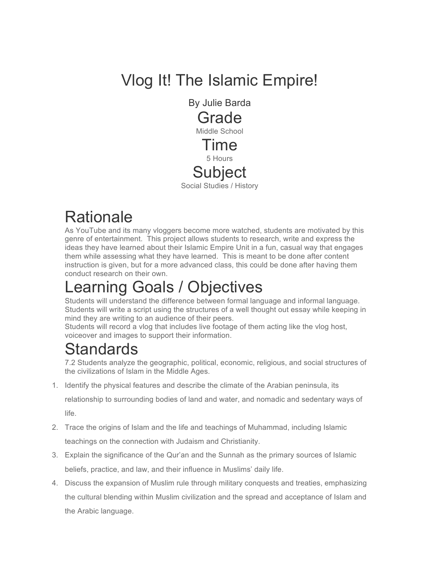# Vlog It! The Islamic Empire!

By Julie Barda Grade Middle School Time 5 Hours **Subject** Social Studies / History

# **Rationale**

As YouTube and its many vloggers become more watched, students are motivated by this genre of entertainment. This project allows students to research, write and express the ideas they have learned about their Islamic Empire Unit in a fun, casual way that engages them while assessing what they have learned. This is meant to be done after content instruction is given, but for a more advanced class, this could be done after having them conduct research on their own.

# Learning Goals / Objectives

Students will understand the difference between formal language and informal language. Students will write a script using the structures of a well thought out essay while keeping in mind they are writing to an audience of their peers.

Students will record a vlog that includes live footage of them acting like the vlog host, voiceover and images to support their information.

#### Standards

7.2 Students analyze the geographic, political, economic, religious, and social structures of the civilizations of Islam in the Middle Ages.

1. Identify the physical features and describe the climate of the Arabian peninsula, its

relationship to surrounding bodies of land and water, and nomadic and sedentary ways of life.

- 2. Trace the origins of Islam and the life and teachings of Muhammad, including Islamic teachings on the connection with Judaism and Christianity.
- 3. Explain the significance of the Qur'an and the Sunnah as the primary sources of Islamic beliefs, practice, and law, and their influence in Muslims' daily life.
- 4. Discuss the expansion of Muslim rule through military conquests and treaties, emphasizing the cultural blending within Muslim civilization and the spread and acceptance of Islam and the Arabic language.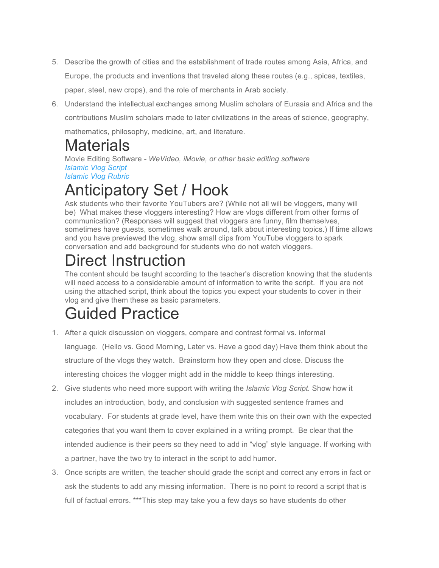- 5. Describe the growth of cities and the establishment of trade routes among Asia, Africa, and Europe, the products and inventions that traveled along these routes (e.g., spices, textiles, paper, steel, new crops), and the role of merchants in Arab society.
- 6. Understand the intellectual exchanges among Muslim scholars of Eurasia and Africa and the contributions Muslim scholars made to later civilizations in the areas of science, geography, mathematics, philosophy, medicine, art, and literature.

#### **Materials**

Movie Editing Software *- WeVideo, iMovie, or other basic editing software Islamic Vlog Script Islamic Vlog Rubric*

# Anticipatory Set / Hook

Ask students who their favorite YouTubers are? (While not all will be vloggers, many will be) What makes these vloggers interesting? How are vlogs different from other forms of communication? (Responses will suggest that vloggers are funny, film themselves, sometimes have guests, sometimes walk around, talk about interesting topics.) If time allows and you have previewed the vlog, show small clips from YouTube vloggers to spark conversation and add background for students who do not watch vloggers.

# Direct Instruction

The content should be taught according to the teacher's discretion knowing that the students will need access to a considerable amount of information to write the script. If you are not using the attached script, think about the topics you expect your students to cover in their vlog and give them these as basic parameters.

# Guided Practice

- 1. After a quick discussion on vloggers, compare and contrast formal vs. informal language. (Hello vs. Good Morning, Later vs. Have a good day) Have them think about the structure of the vlogs they watch. Brainstorm how they open and close. Discuss the interesting choices the vlogger might add in the middle to keep things interesting.
- 2. Give students who need more support with writing the *Islamic Vlog Script.* Show how it includes an introduction, body, and conclusion with suggested sentence frames and vocabulary. For students at grade level, have them write this on their own with the expected categories that you want them to cover explained in a writing prompt. Be clear that the intended audience is their peers so they need to add in "vlog" style language. If working with a partner, have the two try to interact in the script to add humor.
- 3. Once scripts are written, the teacher should grade the script and correct any errors in fact or ask the students to add any missing information. There is no point to record a script that is full of factual errors. \*\*\*This step may take you a few days so have students do other